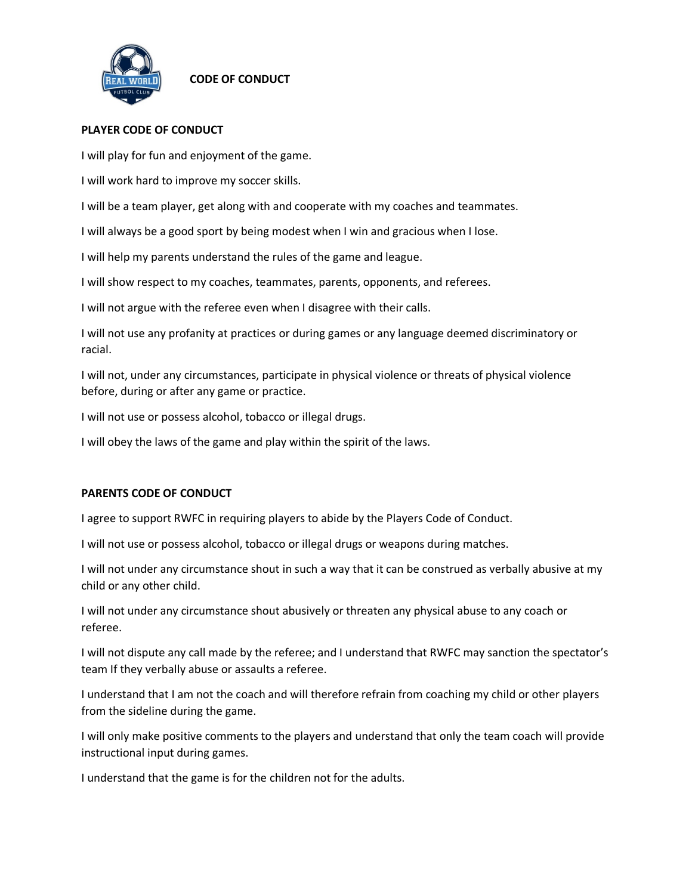

## **CODE OF CONDUCT**

## **PLAYER CODE OF CONDUCT**

I will play for fun and enjoyment of the game.

I will work hard to improve my soccer skills.

I will be a team player, get along with and cooperate with my coaches and teammates.

I will always be a good sport by being modest when I win and gracious when I lose.

I will help my parents understand the rules of the game and league.

I will show respect to my coaches, teammates, parents, opponents, and referees.

I will not argue with the referee even when I disagree with their calls.

I will not use any profanity at practices or during games or any language deemed discriminatory or racial.

I will not, under any circumstances, participate in physical violence or threats of physical violence before, during or after any game or practice.

I will not use or possess alcohol, tobacco or illegal drugs.

I will obey the laws of the game and play within the spirit of the laws.

## **PARENTS CODE OF CONDUCT**

I agree to support RWFC in requiring players to abide by the Players Code of Conduct.

I will not use or possess alcohol, tobacco or illegal drugs or weapons during matches.

I will not under any circumstance shout in such a way that it can be construed as verbally abusive at my child or any other child.

I will not under any circumstance shout abusively or threaten any physical abuse to any coach or referee.

I will not dispute any call made by the referee; and I understand that RWFC may sanction the spectator's team If they verbally abuse or assaults a referee.

I understand that I am not the coach and will therefore refrain from coaching my child or other players from the sideline during the game.

I will only make positive comments to the players and understand that only the team coach will provide instructional input during games.

I understand that the game is for the children not for the adults.